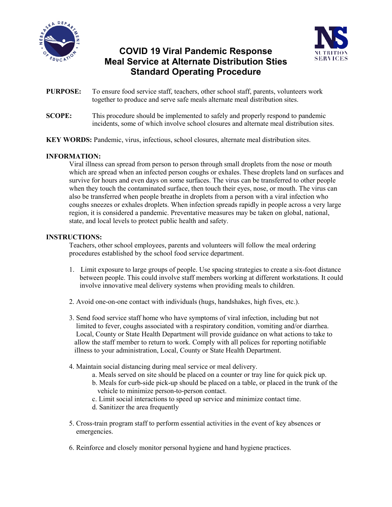

# **COVID 19 Viral Pandemic Response Meal Service at Alternate Distribution Sties Standard Operating Procedure**



- **PURPOSE:** To ensure food service staff, teachers, other school staff, parents, volunteers work together to produce and serve safe meals alternate meal distribution sites.
- **SCOPE:** This procedure should be implemented to safely and properly respond to pandemic incidents, some of which involve school closures and alternate meal distribution sites.
- **KEY WORDS:** Pandemic, virus, infectious, school closures, alternate meal distribution sites.

## **INFORMATION:**

Viral illness can spread from person to person through small droplets from the nose or mouth which are spread when an infected person coughs or exhales. These droplets land on surfaces and survive for hours and even days on some surfaces. The virus can be transferred to other people when they touch the contaminated surface, then touch their eyes, nose, or mouth. The virus can also be transferred when people breathe in droplets from a person with a viral infection who coughs sneezes or exhales droplets. When infection spreads rapidly in people across a very large region, it is considered a pandemic. Preventative measures may be taken on global, national, state, and local levels to protect public health and safety.

## **INSTRUCTIONS:**

Teachers, other school employees, parents and volunteers will follow the meal ordering procedures established by the school food service department.

- 1. Limit exposure to large groups of people. Use spacing strategies to create a six-foot distance between people. This could involve staff members working at different workstations. It could involve innovative meal delivery systems when providing meals to children.
- 2. Avoid one-on-one contact with individuals (hugs, handshakes, high fives, etc.).
- 3. Send food service staff home who have symptoms of viral infection, including but not limited to fever, coughs associated with a respiratory condition, vomiting and/or diarrhea. Local, County or State Health Department will provide guidance on what actions to take to allow the staff member to return to work. Comply with all polices for reporting notifiable illness to your administration, Local, County or State Health Department.
- 4. Maintain social distancing during meal service or meal delivery.
	- a. Meals served on site should be placed on a counter or tray line for quick pick up.
	- b. Meals for curb-side pick-up should be placed on a table, or placed in the trunk of the vehicle to minimize person-to-person contact.
	- c. Limit social interactions to speed up service and minimize contact time.
	- d. Sanitizer the area frequently
- 5. Cross-train program staff to perform essential activities in the event of key absences or emergencies.
- 6. Reinforce and closely monitor personal hygiene and hand hygiene practices.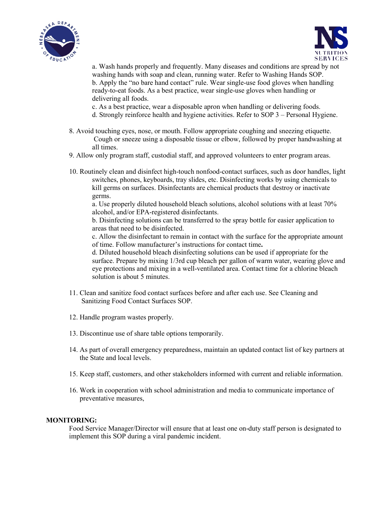



a. Wash hands properly and frequently. Many diseases and conditions are spread by not washing hands with soap and clean, running water. Refer to Washing Hands SOP. b. Apply the "no bare hand contact" rule. Wear single-use food gloves when handling ready-to-eat foods. As a best practice, wear single-use gloves when handling or delivering all foods.

c. As a best practice, wear a disposable apron when handling or delivering foods.

- d. Strongly reinforce health and hygiene activities. Refer to SOP 3 Personal Hygiene.
- 8. Avoid touching eyes, nose, or mouth. Follow appropriate coughing and sneezing etiquette. Cough or sneeze using a disposable tissue or elbow, followed by proper handwashing at all times.
- 9. Allow only program staff, custodial staff, and approved volunteers to enter program areas.
- 10. Routinely clean and disinfect high-touch nonfood-contact surfaces, such as door handles, light switches, phones, keyboards, tray slides, etc. Disinfecting works by using chemicals to kill germs on surfaces. Disinfectants are chemical products that destroy or inactivate germs.

a. Use properly diluted household bleach solutions, alcohol solutions with at least 70% alcohol, and/or EPA-registered disinfectants.

b. Disinfecting solutions can be transferred to the spray bottle for easier application to areas that need to be disinfected.

c. Allow the disinfectant to remain in contact with the surface for the appropriate amount of time. Follow manufacturer's instructions for contact time**.**

d. Diluted household bleach disinfecting solutions can be used if appropriate for the surface. Prepare by mixing 1/3rd cup bleach per gallon of warm water, wearing glove and eye protections and mixing in a well-ventilated area. Contact time for a chlorine bleach solution is about 5 minutes.

- 11. Clean and sanitize food contact surfaces before and after each use. See Cleaning and Sanitizing Food Contact Surfaces SOP.
- 12. Handle program wastes properly.
- 13. Discontinue use of share table options temporarily.
- 14. As part of overall emergency preparedness, maintain an updated contact list of key partners at the State and local levels.
- 15. Keep staff, customers, and other stakeholders informed with current and reliable information.
- 16. Work in cooperation with school administration and media to communicate importance of preventative measures,

#### **MONITORING:**

Food Service Manager/Director will ensure that at least one on-duty staff person is designated to implement this SOP during a viral pandemic incident.